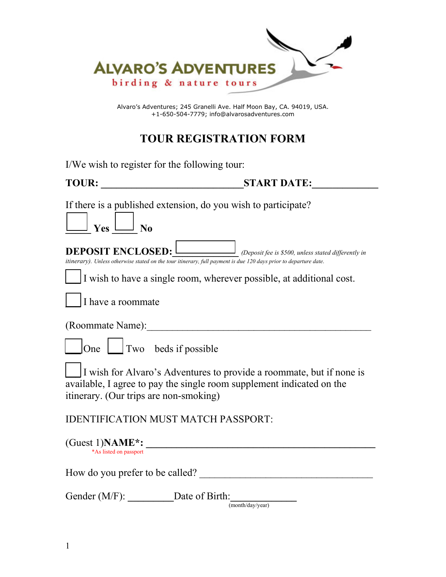

Alvaro's Adventures; 245 Granelli Ave. Half Moon Bay, CA. 94019, USA. +1-650-504-7779; info@alvarosadventures.com

## **TOUR REGISTRATION FORM**

| I/We wish to register for the following tour:         |                                                                                                                                                                                                        |
|-------------------------------------------------------|--------------------------------------------------------------------------------------------------------------------------------------------------------------------------------------------------------|
|                                                       |                                                                                                                                                                                                        |
| $\boxed{\phantom{1}}$ Yes $\boxed{\phantom{1}}$ No    | If there is a published extension, do you wish to participate?                                                                                                                                         |
|                                                       | <b>DEPOSIT ENCLOSED:</b> <i>Deposit fee is \$500, unless stated differently in</i><br>itinerary). Unless otherwise stated on the tour itinerary, full payment is due 120 days prior to departure date. |
| I have a roommate                                     | I wish to have a single room, wherever possible, at additional cost.                                                                                                                                   |
|                                                       | (Roommate Name):                                                                                                                                                                                       |
| $\int$ One $\boxed{\phantom{a}}$ Two beds if possible |                                                                                                                                                                                                        |
| itinerary. (Our trips are non-smoking)                | I wish for Alvaro's Adventures to provide a roommate, but if none is<br>available, I agree to pay the single room supplement indicated on the                                                          |
|                                                       | <b>IDENTIFICATION MUST MATCH PASSPORT:</b>                                                                                                                                                             |
| *As listed on passport                                | $(Guest 1) NAME^*:$                                                                                                                                                                                    |
|                                                       | How do you prefer to be called?                                                                                                                                                                        |
| Gender (M/F): Date of Birth:                          | (month/day/year)                                                                                                                                                                                       |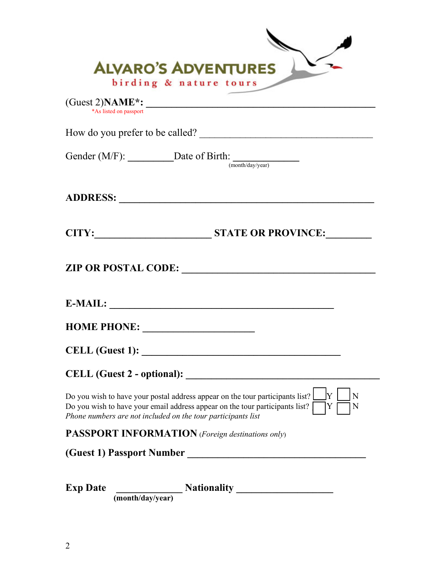| <b>ALVARO'S ADVENTURES</b><br>birding & nature tours                                                                                                                                                                                               |
|----------------------------------------------------------------------------------------------------------------------------------------------------------------------------------------------------------------------------------------------------|
| *As listed on passport                                                                                                                                                                                                                             |
|                                                                                                                                                                                                                                                    |
| Gender (M/F): $\_\_\_\_\_\_\_\_\_\_\_\_\$ Date of Birth: $\_\_\_\_\_\_\_\_\_\_\_\_\_\_\_\_\_\_\_\_\_\_\_$                                                                                                                                          |
|                                                                                                                                                                                                                                                    |
| CITY: STATE OR PROVINCE:                                                                                                                                                                                                                           |
|                                                                                                                                                                                                                                                    |
|                                                                                                                                                                                                                                                    |
| HOME PHONE:                                                                                                                                                                                                                                        |
| <b>CELL</b> (Guest 1):                                                                                                                                                                                                                             |
|                                                                                                                                                                                                                                                    |
| ΙY<br>Do you wish to have your postal address appear on the tour participants list?<br>N<br>Do you wish to have your email address appear on the tour participants list?<br>Y<br>N<br>Phone numbers are not included on the tour participants list |
| <b>PASSPORT INFORMATION</b> (Foreign destinations only)                                                                                                                                                                                            |
| (Guest 1) Passport Number                                                                                                                                                                                                                          |
| <b>Exp Date</b><br>$\frac{1}{(month/day/year)}$ Nationality                                                                                                                                                                                        |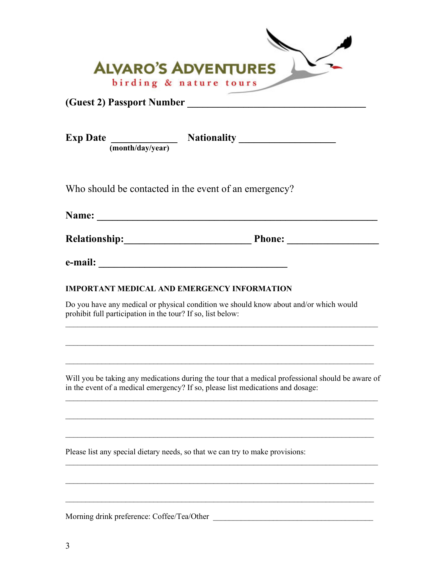| <b>ALVARO'S ADVENTURES</b>                                                                                                                                                           |  |
|--------------------------------------------------------------------------------------------------------------------------------------------------------------------------------------|--|
| birding & nature tours                                                                                                                                                               |  |
| Exp Date $\frac{1}{(month/day/year)}$ Nationality                                                                                                                                    |  |
| Who should be contacted in the event of an emergency?                                                                                                                                |  |
|                                                                                                                                                                                      |  |
| Relationship: Phone: Phone:                                                                                                                                                          |  |
|                                                                                                                                                                                      |  |
| <b>IMPORTANT MEDICAL AND EMERGENCY INFORMATION</b>                                                                                                                                   |  |
| Do you have any medical or physical condition we should know about and/or which would<br>prohibit full participation in the tour? If so, list below:                                 |  |
| Will you be taking any medications during the tour that a medical professional should be aware of<br>in the event of a medical emergency? If so, please list medications and dosage: |  |
| Please list any special dietary needs, so that we can try to make provisions:                                                                                                        |  |
|                                                                                                                                                                                      |  |
|                                                                                                                                                                                      |  |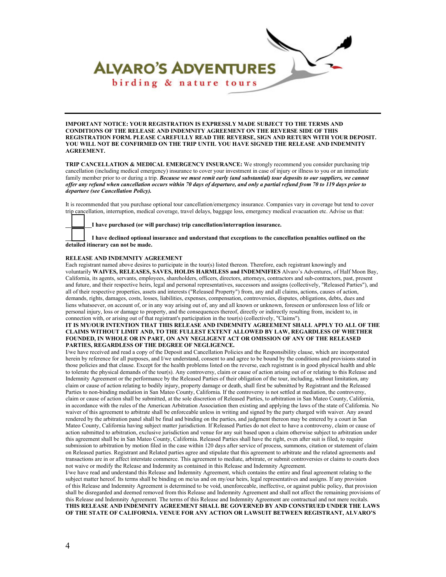

**IMPORTANT NOTICE: YOUR REGISTRATION IS EXPRESSLY MADE SUBJECT TO THE TERMS AND CONDITIONS OF THE RELEASE AND INDEMNITY AGREEMENT ON THE REVERSE SIDE OF THIS REGISTRATION FORM. PLEASE CAREFULLY READ THE REVERSE, SIGN AND RETURN WITH YOUR DEPOSIT. YOU WILL NOT BE CONFIRMED ON THE TRIP UNTIL YOU HAVE SIGNED THE RELEASE AND INDEMNITY AGREEMENT.**

**TRIP CANCELLATION & MEDICAL EMERGENCY INSURANCE:** We strongly recommend you consider purchasing trip cancellation (including medical emergency) insurance to cover your investment in case of injury or illness to you or an immediate family member prior to or during a trip. *Because we must remit early (and substantial) tour deposits to our suppliers, we cannot offer any refund when cancellation occurs within 70 days of departure, and only a partial refund from 70 to 119 days prior to departure (see Cancellation Policy).*

It is recommended that you purchase optional tour cancellation/emergency insurance. Companies vary in coverage but tend to cover trip cancellation, interruption, medical coverage, travel delays, baggage loss, emergency medical evacuation etc. Advise us that:

**\_\_\_\_\_\_\_\_\_I have purchased (or will purchase) trip cancellation/interruption insurance.**

**\_\_\_\_\_\_\_ I have declined optional insurance and understand that exceptions to the cancellation penalties outlined on the detailed itinerary can not be made.**

## **RELEASE AND INDEMNITY AGREEMENT**

Each registrant named above desires to participate in the tour(s) listed thereon. Therefore, each registrant knowingly and voluntarily **WAIVES, RELEASES, SAVES, HOLDS HARMLESS and INDEMNIFIES** Alvaro's Adventures, of Half Moon Bay, California, its agents, servants, employees, shareholders, officers, directors, attorneys, contractors and sub-contractors, past, present and future, and their respective heirs, legal and personal representatives, successors and assigns (collectively, "Released Parties"), and all of their respective properties, assets and interests ("Released Property") from, any and all claims, actions, causes of action, demands, rights, damages, costs, losses, liabilities, expenses, compensation, controversies, disputes, obligations, debts, dues and liens whatsoever, on account of, or in any way arising out of, any and all known or unknown, foreseen or unforeseen loss of life or personal injury, loss or damage to property, and the consequences thereof, directly or indirectly resulting from, incident to, in connection with, or arising out of that registrant's participation in the tour(s) (collectively, "Claims").

## **IT IS MY/OUR INTENTION THAT THIS RELEASE AND INDEMNITY AGREEMENT SHALL APPLY TO ALL OF THE CLAIMS WITHOUT LIMIT AND, TO THE FULLEST EXTENT ALLOWED BY LAW, REGARDLESS OF WHETHER FOUNDED, IN WHOLE OR IN PART, ON ANY NEGLIGENT ACT OR OMISSION OF ANY OF THE RELEASED PARTIES, REGARDLESS OF THE DEGREE OF NEGLIGENCE.**

I/we have received and read a copy of the Deposit and Cancellation Policies and the Responsibility clause, which are incorporated herein by reference for all purposes, and I/we understand, consent to and agree to be bound by the conditions and provisions stated in those policies and that clause. Except for the health problems listed on the reverse, each registrant is in good physical health and able to tolerate the physical demands of the tour(s). Any controversy, claim or cause of action arising out of or relating to this Release and Indemnity Agreement or the performance by the Released Parties of their obligation of the tour, including, without limitation, any claim or cause of action relating to bodily injury, property damage or death, shall first be submitted by Registrant and the Released Parties to non-binding mediation in San Mateo County, California. If the controversy is not settled at mediation, the controversy, claim or cause of action shall be submitted, at the sole discretion of Released Parties, to arbitration in San Mateo County, California, in accordance with the rules of the American Arbitration Association then existing and applying the laws of the state of California. No waiver of this agreement to arbitrate shall be enforceable unless in writing and signed by the party charged with waiver. Any award rendered by the arbitration panel shall be final and binding on the parties, and judgment thereon may be entered by a court in San Mateo County, California having subject matter jurisdiction. If Released Parties do not elect to have a controversy, claim or cause of action submitted to arbitration, exclusive jurisdiction and venue for any suit based upon a claim otherwise subject to arbitration under this agreement shall be in San Mateo County, California. Released Parties shall have the right, even after suit is filed, to require submission to arbitration by motion filed in the case within 120 days after service of process, summons, citation or statement of claim on Released parties. Registrant and Related parties agree and stipulate that this agreement to arbitrate and the related agreements and transactions are in or affect interstate commerce. This agreement to mediate, arbitrate, or submit controversies or claims to courts does not waive or modify the Release and Indemnity as contained in this Release and Indemnity Agreement.

I/we have read and understand this Release and Indemnity Agreement, which contains the entire and final agreement relating to the subject matter hereof. Its terms shall be binding on me/us and on my/our heirs, legal representatives and assigns. If any provision of this Release and Indemnity Agreement is determined to be void, unenforceable, ineffective, or against public policy, that provision shall be disregarded and deemed removed from this Release and Indemnity Agreement and shall not affect the remaining provisions of this Release and Indemnity Agreement. The terms of this Release and Indemnity Agreement are contractual and not mere recitals. **THIS RELEASE AND INDEMNITY AGREEMENT SHALL BE GOVERNED BY AND CONSTRUED UNDER THE LAWS OF THE STATE OF CALIFORNIA. VENUE FOR ANY ACTION OR LAWSUIT BETWEEN REGISTRANT, ALVARO'S**